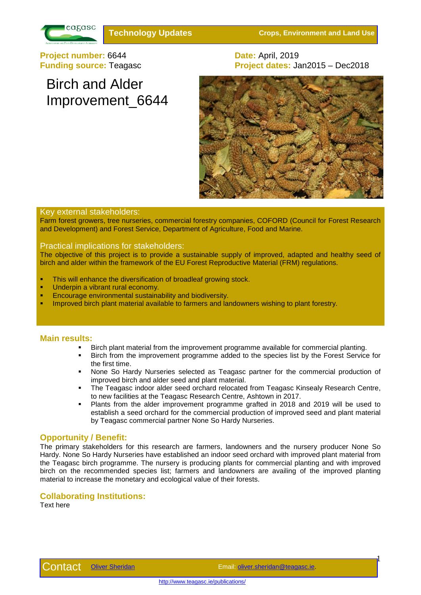

**Technology Updates Crops, Environment and Land Use**

**Project number:** 6644 **Date:** April, 2019<br> **Project dates:** January 2019

Birch and Alder

Improvement\_6644

# **Project dates: Jan2015 – Dec2018**



## Key external stakeholders:

Farm forest growers, tree nurseries, commercial forestry companies, COFORD (Council for Forest Research and Development) and Forest Service, Department of Agriculture, Food and Marine.

## Practical implications for stakeholders:

The objective of this project is to provide a sustainable supply of improved, adapted and healthy seed of birch and alder within the framework of the EU Forest Reproductive Material (FRM) regulations.

- This will enhance the diversification of broadleaf growing stock.
- Underpin a vibrant rural economy.
- Encourage environmental sustainability and biodiversity.
- Improved birch plant material available to farmers and landowners wishing to plant forestry.

#### **Main results:**

- Birch plant material from the improvement programme available for commercial planting.
- Birch from the improvement programme added to the species list by the Forest Service for the first time.
- None So Hardy Nurseries selected as Teagasc partner for the commercial production of improved birch and alder seed and plant material.
- The Teagasc indoor alder seed orchard relocated from Teagasc Kinsealy Research Centre, to new facilities at the Teagasc Research Centre, Ashtown in 2017.
- Plants from the alder improvement programme grafted in 2018 and 2019 will be used to establish a seed orchard for the commercial production of improved seed and plant material by Teagasc commercial partner None So Hardy Nurseries.

# **Opportunity / Benefit:**

The primary stakeholders for this research are farmers, landowners and the nursery producer None So Hardy. None So Hardy Nurseries have established an indoor seed orchard with improved plant material from the Teagasc birch programme. The nursery is producing plants for commercial planting and with improved birch on the recommended species list; farmers and landowners are availing of the improved planting material to increase the monetary and ecological value of their forests.

# **Collaborating Institutions:**

Text here

1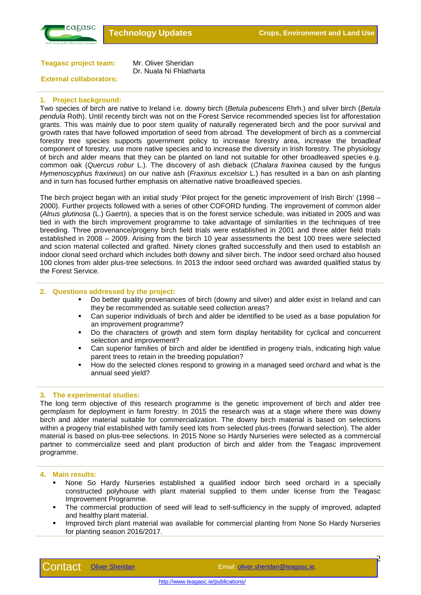

**Teagasc project team:** Mr. Oliver Sheridan

Dr. Nuala Ni Fhlatharta

## **External collaborators:**

#### **1. Project background:**

Two species of birch are native to Ireland i.e. downy birch (*Betula pubescens* Ehrh.) and silver birch (*Betula pendula* Roth). Until recently birch was not on the Forest Service recommended species list for afforestation grants. This was mainly due to poor stem quality of naturally regenerated birch and the poor survival and growth rates that have followed importation of seed from abroad. The development of birch as a commercial forestry tree species supports government policy to increase forestry area, increase the broadleaf component of forestry, use more native species and to increase the diversity in Irish forestry. The physiology of birch and alder means that they can be planted on land not suitable for other broadleaved species e.g. common oak (*Quercus robur* L.). The discovery of ash dieback (*Chalara fraxinea* caused by the fungus *Hymenoscyphus fraxineus*) on our native ash (*Fraxinus excelsior* L.) has resulted in a ban on ash planting and in turn has focused further emphasis on alternative native broadleaved species.

The birch project began with an initial study 'Pilot project for the genetic improvement of Irish Birch' (1998 – 2000). Further projects followed with a series of other COFORD funding. The improvement of common alder (*Alnus glutinosa* (L.) Gaertn), a species that is on the forest service schedule, was initiated in 2005 and was tied in with the birch improvement programme to take advantage of similarities in the techniques of tree breeding. Three provenance/progeny birch field trials were established in 2001 and three alder field trials established in 2008 – 2009. Arising from the birch 10 year assessments the best 100 trees were selected and scion material collected and grafted. Ninety clones grafted successfully and then used to establish an indoor clonal seed orchard which includes both downy and silver birch. The indoor seed orchard also housed 100 clones from alder plus-tree selections. In 2013 the indoor seed orchard was awarded qualified status by the Forest Service.

#### **2. Questions addressed by the project:**

- Do better quality provenances of birch (downy and silver) and alder exist in Ireland and can they be recommended as suitable seed collection areas?
- Can superior individuals of birch and alder be identified to be used as a base population for an improvement programme?
- Do the characters of growth and stem form display heritability for cyclical and concurrent selection and improvement?
- Can superior families of birch and alder be identified in progeny trials, indicating high value parent trees to retain in the breeding population?
- How do the selected clones respond to growing in a managed seed orchard and what is the annual seed yield?

#### **3. The experimental studies:**

The long term objective of this research programme is the genetic improvement of birch and alder tree germplasm for deployment in farm forestry. In 2015 the research was at a stage where there was downy birch and alder material suitable for commercialization. The downy birch material is based on selections within a progeny trial established with family seed lots from selected plus-trees (forward selection). The alder material is based on plus-tree selections. In 2015 None so Hardy Nurseries were selected as a commercial partner to commercialize seed and plant production of birch and alder from the Teagasc improvement programme.

#### **4. Main results:**

- None So Hardy Nurseries established a qualified indoor birch seed orchard in a specially constructed polyhouse with plant material supplied to them under license from the Teagasc Improvement Programme.
- The commercial production of seed will lead to self-sufficiency in the supply of improved, adapted and healthy plant material.
- Improved birch plant material was available for commercial planting from None So Hardy Nurseries for planting season 2016/2017.

 $\boldsymbol{\mathcal{P}}$